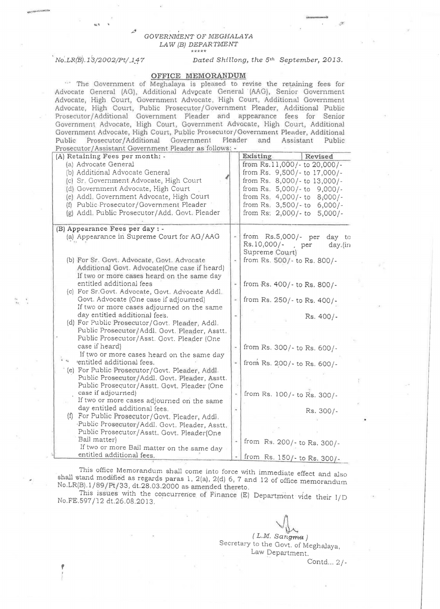## GOVERNMENT OF MEGHALAYA LAW (B) DEPARTMENT

No.LR(B).13/2002/Pt/147

## Dated Shillong, the 5th September, 2013.

## OFFICE MEMORANDUM

" The Government of Meghalaya is pleased to revise the retaining fees for Advocate General (AG), Additional Advocate General (AAG), Senior Government Advocate, High Court, Government Advocate, High Court, Additional Government Advocate, High Court, Public Prosecutor/Government Pleader, Additional Public Prosecutor/Additional Government Pleader and appearance fees for Senior Government Advocate, High Court, Government Advocate, High Court, Additional Government Advocate, High Court, Public Prosecutor/Government Pleader, Additional Public Prosecutor/Additional Government Pleader and Assistant Public Prosecutor/Assistant Government Pleader as follows: -

| (A) Retaining Fees per month: -                                             |                          | Existing<br>Revised                      |
|-----------------------------------------------------------------------------|--------------------------|------------------------------------------|
| (a) Advocate General                                                        |                          | from Rs.11,000/- to 20,000/-             |
| (b) Additional Advocate General                                             |                          | from Rs. 9,500/- to 17,000/-             |
| (c) Sr. Government Advocate, High Court                                     |                          | from Rs. 8,000/- to 13,000/-             |
| (d) Government Advocate, High Court                                         |                          | from Rs. 5,000/-to 9,000/-               |
| (e) Addl. Government Advocate, High Court                                   |                          | from Rs. 4,000/- to 8,000/-              |
| (f) Public Prosecutor/Government Pleader                                    |                          | from Rs. 3,500/-to 6,000/-               |
| (g) Addl. Public Prosecutor/Add. Govt. Pleader                              |                          | from Rs: 2,000/- to 5,000/-              |
| (B) Appearance Fees per day : -                                             |                          |                                          |
| (a) Appearance in Supreme Court for AG/AAG                                  |                          | from Rs.5,000/- per<br>day to            |
|                                                                             |                          | Rs. 10,000/-<br>, per<br>day.(in         |
|                                                                             |                          | Supreme Court)                           |
| (b) For Sr. Govt. Advocate, Govt. Advocate                                  |                          | from Rs. 500/- to Rs. 800/-              |
| Additional Govt. Advocate(One case if heard)                                |                          |                                          |
| If two or more cases heard on the same day<br>entitled additional fees      | $\overline{\phantom{a}}$ |                                          |
| (c) For Sr. Govt. Advocate, Govt. Advocate Addl.                            |                          | from Rs. 400/- to Rs. 800/-              |
| Govt. Advocate (One case if adjourned)                                      |                          | from Rs. 250/- to Rs. 400/-              |
| If two or more cases adjourned on the same                                  |                          |                                          |
| day entitled additional fees.                                               |                          | Rs. 400/-                                |
| (d) For Public Prosecutor/Govt. Pleader, Addl.                              |                          |                                          |
| Public Prosecutor/Addl. Govt. Pleader, Asstt.                               |                          |                                          |
| Public Prosecutor/Asst. Govt. Pleader (One                                  |                          |                                          |
| case if heard)                                                              |                          | from Rs. 300/- to Rs. 600/-              |
| If two or more cases heard on the same day                                  |                          |                                          |
| à a<br>'entitled additional fees.                                           |                          | from Rs. 200/- to Rs. 600/-              |
| (e) For Public Prosecutor/Govt. Pleader, Addl.                              |                          |                                          |
| Public Prosecutor/Addl. Govt. Pleader, Asstt.                               |                          |                                          |
| Public Prosecutor/Asstt. Govt. Pleader (One                                 |                          |                                          |
| case if adjourned)                                                          |                          | from Rs. 100/- to Rs. 300/-              |
| If two or more cases adjourned on the same<br>day entitled additional fees. |                          |                                          |
| (f) For Public Prosecutor/Govt. Pleader, Addl.                              |                          | Rs. 300/-                                |
| Public Prosecutor/Addl. Govt. Pleader, Asstt.                               |                          |                                          |
| Public Prosecutor/Asstt. Govt. Pleader(One                                  |                          |                                          |
| Bail matter)                                                                |                          |                                          |
| If two or more Bail matter on the same day                                  |                          | from Rs. 200/- to Rs. 300/-              |
| entitled additional fees.                                                   |                          | from $Rs$ 150/ $\pm$ p <sub>0</sub> 300/ |

This office Memorandum shall come into force with immediate effect and also shall stand modified as regards paras 1, 2(a), 2(d) 6, 7 and 12 of office memorandum No.LR(B).1/89/Pt/33, dt.28.03.2000 as amended thereto.

This issues with the concurrence of Finance (E) Department vide their I/D No.FE.597/12 dt.26.08.2013.

> (L.M. Sangma) Secretary to the Govt. of Meghalaya, Law Department.

> > Contd... 2/-